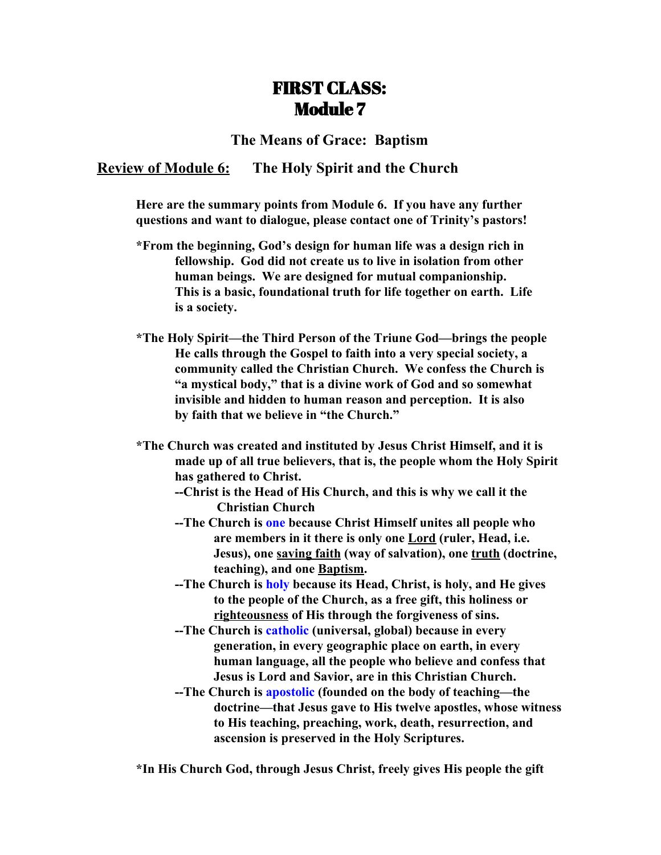# FIRST CLASS: Module 7

### **The Means of Grace: Baptism**

### **Review of Module 6: The Holy Spirit and the Church**

**Here are the summary points from Module 6. If you have any further questions and want to dialogue, please contact one of Trinity's pastors!**

- **\*From the beginning, God's design for human life was a design rich in fellowship. God did not create us to live in isolation from other human beings. We are designed for mutual companionship. This is a basic, foundational truth for life together on earth. Life is a society.**
- **\*The Holy Spirit—the Third Person of the Triune God—brings the people He calls through the Gospel to faith into a very special society, a community called the Christian Church. We confess the Church is "a mystical body," that is a divine work of God and so somewhat invisible and hidden to human reason and perception. It is also by faith that we believe in "the Church."**
- **\*The Church was created and instituted by Jesus Christ Himself, and it is made up of all true believers, that is, the people whom the Holy Spirit has gathered to Christ.**
	- **--Christ is the Head of His Church, and this is why we call it the Christian Church**
	- **--The Church is one because Christ Himself unites all people who are members in it there is only one Lord (ruler, Head, i.e. Jesus), one saving faith (way of salvation), one truth (doctrine, teaching), and one Baptism.**
	- **--The Church is holy because its Head, Christ, is holy, and He gives to the people of the Church, as a free gift, this holiness or righteousness of His through the forgiveness of sins.**
	- **--The Church is catholic (universal, global) because in every generation, in every geographic place on earth, in every human language, all the people who believe and confess that Jesus is Lord and Savior, are in this Christian Church.**
	- **--The Church is apostolic (founded on the body of teaching—the doctrine—that Jesus gave to His twelve apostles, whose witness to His teaching, preaching, work, death, resurrection, and ascension is preserved in the Holy Scriptures.**

**\*In His Church God, through Jesus Christ, freely gives His people the gift**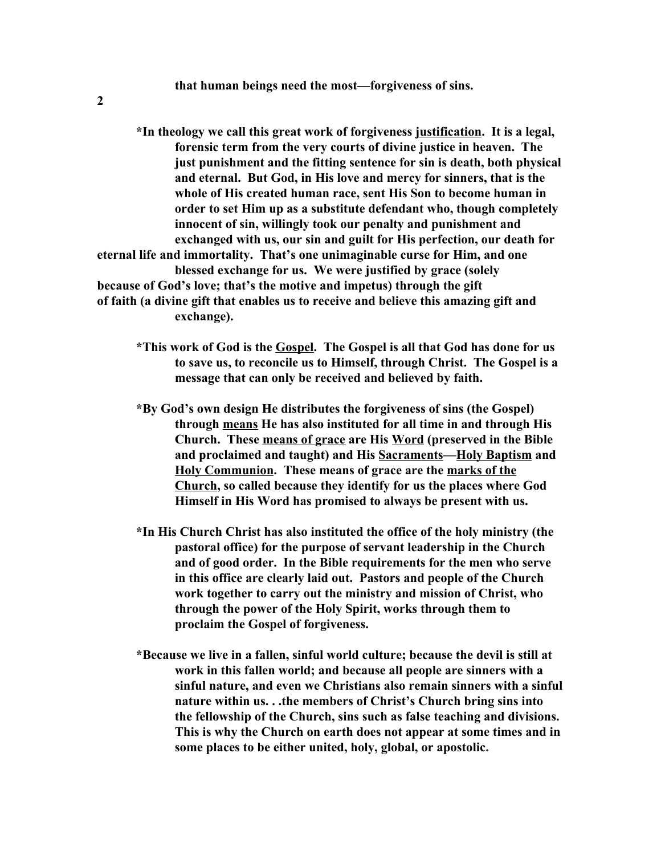**2**

**\*In theology we call this great work of forgiveness justification. It is a legal, forensic term from the very courts of divine justice in heaven. The just punishment and the fitting sentence for sin is death, both physical and eternal. But God, in His love and mercy for sinners, that is the whole of His created human race, sent His Son to become human in order to set Him up as a substitute defendant who, though completely innocent of sin, willingly took our penalty and punishment and exchanged with us, our sin and guilt for His perfection, our death for eternal life and immortality. That's one unimaginable curse for Him, and one blessed exchange for us. We were justified by grace (solely because of God's love; that's the motive and impetus) through the gift of faith (a divine gift that enables us to receive and believe this amazing gift and exchange).**

- **\*This work of God is the Gospel. The Gospel is all that God has done for us to save us, to reconcile us to Himself, through Christ. The Gospel is a message that can only be received and believed by faith.**
- **\*By God's own design He distributes the forgiveness of sins (the Gospel) through means He has also instituted for all time in and through His Church. These means of grace are His Word (preserved in the Bible and proclaimed and taught) and His Sacraments—Holy Baptism and Holy Communion. These means of grace are the marks of the Church, so called because they identify for us the places where God Himself in His Word has promised to always be present with us.**
- **\*In His Church Christ has also instituted the office of the holy ministry (the pastoral office) for the purpose of servant leadership in the Church and of good order. In the Bible requirements for the men who serve in this office are clearly laid out. Pastors and people of the Church work together to carry out the ministry and mission of Christ, who through the power of the Holy Spirit, works through them to proclaim the Gospel of forgiveness.**
- **\*Because we live in a fallen, sinful world culture; because the devil is still at work in this fallen world; and because all people are sinners with a sinful nature, and even we Christians also remain sinners with a sinful nature within us. . .the members of Christ's Church bring sins into the fellowship of the Church, sins such as false teaching and divisions. This is why the Church on earth does not appear at some times and in some places to be either united, holy, global, or apostolic.**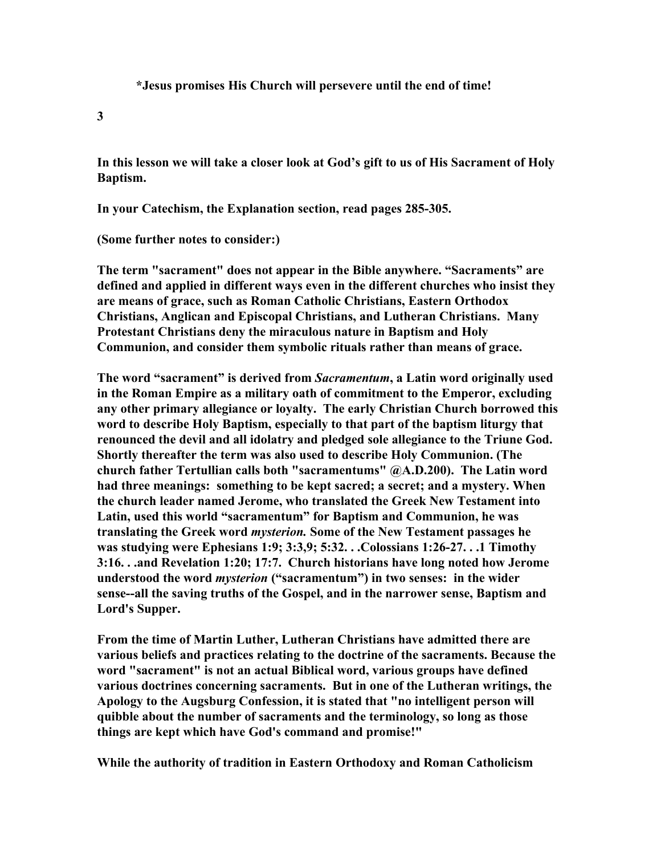**\*Jesus promises His Church will persevere until the end of time!**

**3**

**In this lesson we will take a closer look at God's gift to us of His Sacrament of Holy Baptism.**

**In your Catechism, the Explanation section, read pages 285-305.**

**(Some further notes to consider:)**

**The term "sacrament" does not appear in the Bible anywhere. "Sacraments" are defined and applied in different ways even in the different churches who insist they are means of grace, such as Roman Catholic Christians, Eastern Orthodox Christians, Anglican and Episcopal Christians, and Lutheran Christians. Many Protestant Christians deny the miraculous nature in Baptism and Holy Communion, and consider them symbolic rituals rather than means of grace.**

**The word "sacrament" is derived from** *Sacramentum***, a Latin word originally used in the Roman Empire as a military oath of commitment to the Emperor, excluding any other primary allegiance or loyalty. The early Christian Church borrowed this word to describe Holy Baptism, especially to that part of the baptism liturgy that renounced the devil and all idolatry and pledged sole allegiance to the Triune God. Shortly thereafter the term was also used to describe Holy Communion. (The church father Tertullian calls both "sacramentums" @A.D.200). The Latin word had three meanings: something to be kept sacred; a secret; and a mystery. When the church leader named Jerome, who translated the Greek New Testament into Latin, used this world "sacramentum" for Baptism and Communion, he was translating the Greek word** *mysterion.* **Some of the New Testament passages he was studying were Ephesians 1:9; 3:3,9; 5:32. . .Colossians 1:26-27. . .1 Timothy 3:16. . .and Revelation 1:20; 17:7. Church historians have long noted how Jerome understood the word** *mysterion* **("sacramentum") in two senses: in the wider sense--all the saving truths of the Gospel, and in the narrower sense, Baptism and Lord's Supper.**

**From the time of Martin Luther, Lutheran Christians have admitted there are various beliefs and practices relating to the doctrine of the sacraments. Because the word "sacrament" is not an actual Biblical word, various groups have defined various doctrines concerning sacraments. But in one of the Lutheran writings, the Apology to the Augsburg Confession, it is stated that "no intelligent person will quibble about the number of sacraments and the terminology, so long as those things are kept which have God's command and promise!"**

**While the authority of tradition in Eastern Orthodoxy and Roman Catholicism**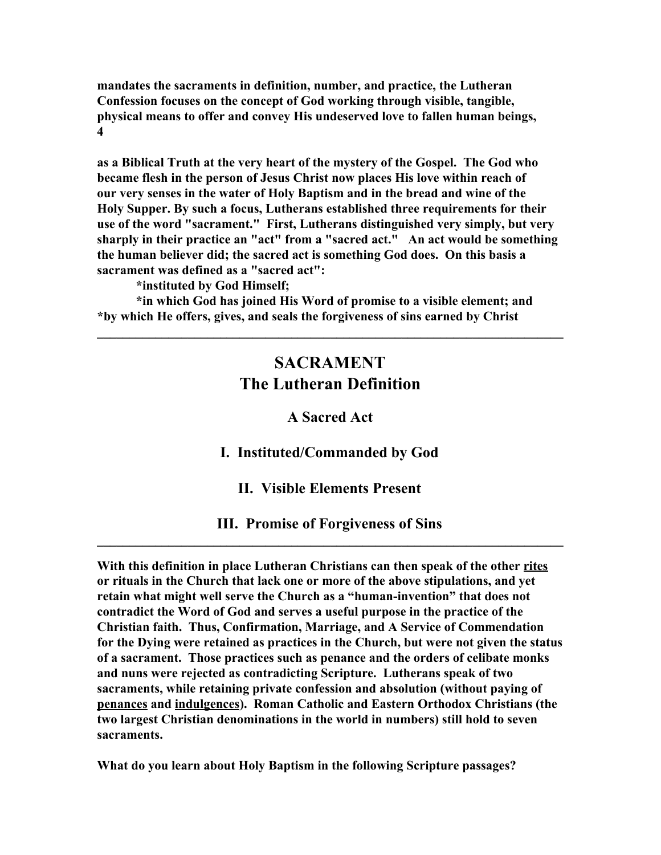**mandates the sacraments in definition, number, and practice, the Lutheran Confession focuses on the concept of God working through visible, tangible, physical means to offer and convey His undeserved love to fallen human beings, 4**

**as a Biblical Truth at the very heart of the mystery of the Gospel. The God who became flesh in the person of Jesus Christ now places His love within reach of our very senses in the water of Holy Baptism and in the bread and wine of the Holy Supper. By such a focus, Lutherans established three requirements for their use of the word "sacrament." First, Lutherans distinguished very simply, but very sharply in their practice an "act" from a "sacred act." An act would be something the human believer did; the sacred act is something God does. On this basis a sacrament was defined as a "sacred act":**

**\*instituted by God Himself;**

**\*in which God has joined His Word of promise to a visible element; and \*by which He offers, gives, and seals the forgiveness of sins earned by Christ**

## **SACRAMENT The Lutheran Definition**

**\_\_\_\_\_\_\_\_\_\_\_\_\_\_\_\_\_\_\_\_\_\_\_\_\_\_\_\_\_\_\_\_\_\_\_\_\_\_\_\_\_\_\_\_\_\_\_\_\_\_\_\_\_\_\_\_\_\_\_\_\_\_\_\_\_\_\_\_\_\_\_\_**

#### **A Sacred Act**

**I. Instituted/Commanded by God**

**II. Visible Elements Present**

**III. Promise of Forgiveness of Sins \_\_\_\_\_\_\_\_\_\_\_\_\_\_\_\_\_\_\_\_\_\_\_\_\_\_\_\_\_\_\_\_\_\_\_\_\_\_\_\_\_\_\_\_\_\_\_\_\_\_\_\_\_\_\_\_\_\_\_\_\_\_\_\_\_\_\_\_\_\_\_\_**

**With this definition in place Lutheran Christians can then speak of the other rites or rituals in the Church that lack one or more of the above stipulations, and yet retain what might well serve the Church as a "human-invention" that does not contradict the Word of God and serves a useful purpose in the practice of the Christian faith. Thus, Confirmation, Marriage, and A Service of Commendation for the Dying were retained as practices in the Church, but were not given the status of a sacrament. Those practices such as penance and the orders of celibate monks and nuns were rejected as contradicting Scripture. Lutherans speak of two sacraments, while retaining private confession and absolution (without paying of penances and indulgences). Roman Catholic and Eastern Orthodox Christians (the two largest Christian denominations in the world in numbers) still hold to seven sacraments.**

**What do you learn about Holy Baptism in the following Scripture passages?**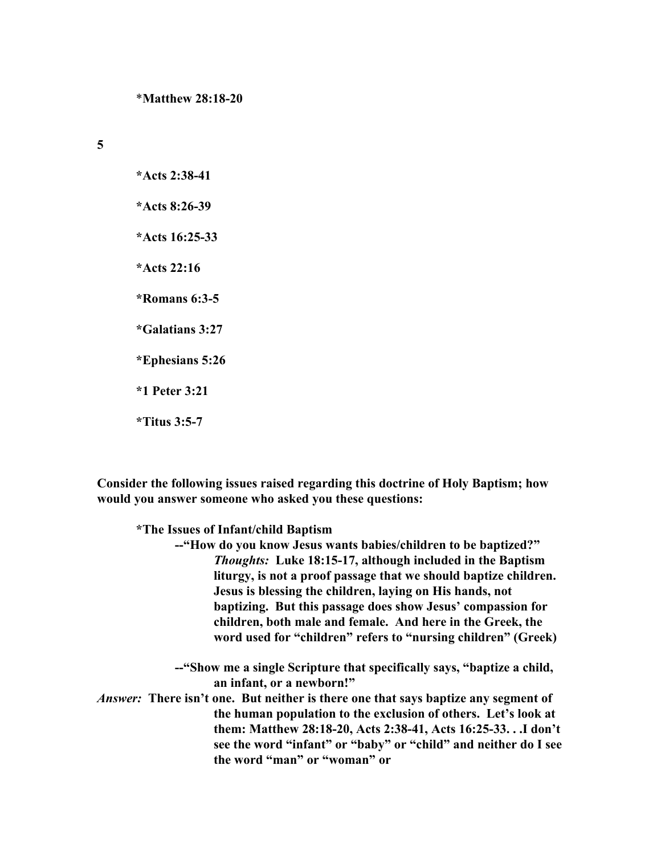**5**

**\*Acts 2:38-41 \*Acts 8:26-39 \*Acts 16:25-33 \*Acts 22:16 \*Romans 6:3-5 \*Galatians 3:27 \*Ephesians 5:26 \*1 Peter 3:21 \*Titus 3:5-7**

**Consider the following issues raised regarding this doctrine of Holy Baptism; how would you answer someone who asked you these questions:**

**\*The Issues of Infant/child Baptism**

**--"How do you know Jesus wants babies/children to be baptized?"** *Thoughts:* **Luke 18:15-17, although included in the Baptism liturgy, is not a proof passage that we should baptize children. Jesus is blessing the children, laying on His hands, not baptizing. But this passage does show Jesus' compassion for children, both male and female. And here in the Greek, the word used for "children" refers to "nursing children" (Greek)**

**--"Show me a single Scripture that specifically says, "baptize a child, an infant, or a newborn!"**

*Answer:*  **There isn't one. But neither is there one that says baptize any segment of the human population to the exclusion of others. Let's look at them: Matthew 28:18-20, Acts 2:38-41, Acts 16:25-33. . .I don't see the word "infant" or "baby" or "child" and neither do I see the word "man" or "woman" or**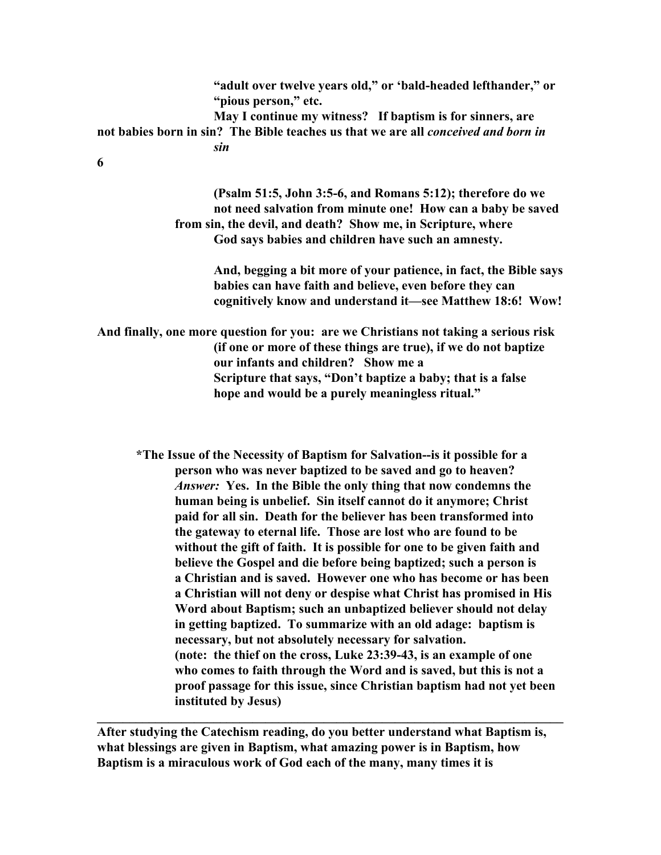**"adult over twelve years old," or 'bald-headed lefthander," or "pious person," etc. May I continue my witness? If baptism is for sinners, are not babies born in sin? The Bible teaches us that we are all** *conceived and born in sin* **6**

> **(Psalm 51:5, John 3:5-6, and Romans 5:12); therefore do we not need salvation from minute one! How can a baby be saved from sin, the devil, and death? Show me, in Scripture, where God says babies and children have such an amnesty.**

> > **And, begging a bit more of your patience, in fact, the Bible says babies can have faith and believe, even before they can cognitively know and understand it—see Matthew 18:6! Wow!**

**And finally, one more question for you: are we Christians not taking a serious risk (if one or more of these things are true), if we do not baptize our infants and children? Show me a Scripture that says, "Don't baptize a baby; that is a false hope and would be a purely meaningless ritual."**

**\*The Issue of the Necessity of Baptism for Salvation--is it possible for a person who was never baptized to be saved and go to heaven?** *Answer:* **Yes. In the Bible the only thing that now condemns the human being is unbelief. Sin itself cannot do it anymore; Christ paid for all sin. Death for the believer has been transformed into the gateway to eternal life. Those are lost who are found to be without the gift of faith. It is possible for one to be given faith and believe the Gospel and die before being baptized; such a person is a Christian and is saved. However one who has become or has been a Christian will not deny or despise what Christ has promised in His Word about Baptism; such an unbaptized believer should not delay in getting baptized. To summarize with an old adage: baptism is necessary, but not absolutely necessary for salvation. (note: the thief on the cross, Luke 23:39-43, is an example of one who comes to faith through the Word and is saved, but this is not a proof passage for this issue, since Christian baptism had not yet been instituted by Jesus)**

**After studying the Catechism reading, do you better understand what Baptism is, what blessings are given in Baptism, what amazing power is in Baptism, how Baptism is a miraculous work of God each of the many, many times it is**

**\_\_\_\_\_\_\_\_\_\_\_\_\_\_\_\_\_\_\_\_\_\_\_\_\_\_\_\_\_\_\_\_\_\_\_\_\_\_\_\_\_\_\_\_\_\_\_\_\_\_\_\_\_\_\_\_\_\_\_\_\_\_\_\_\_\_\_\_\_\_\_\_**